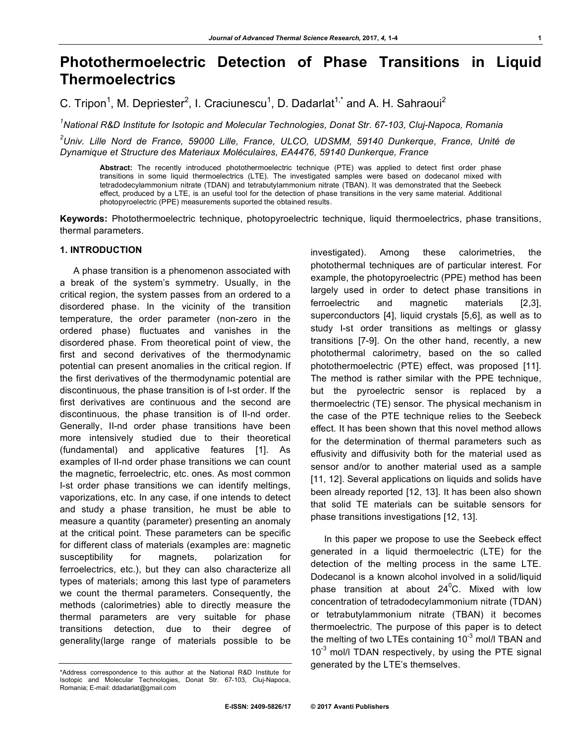# **Photothermoelectric Detection of Phase Transitions in Liquid Thermoelectrics**

C. Tripon<sup>1</sup>, M. Depriester<sup>2</sup>, I. Craciunescu<sup>1</sup>, D. Dadarlat<sup>1,\*</sup> and A. H. Sahraoui<sup>2</sup>

*1 National R&D Institute for Isotopic and Molecular Technologies, Donat Str. 67-103, Cluj-Napoca, Romania*

*2 Univ. Lille Nord de France, 59000 Lille, France, ULCO, UDSMM, 59140 Dunkerque, France, Unité de Dynamique et Structure des Materiaux Moléculaires, EA4476, 59140 Dunkerque, France*

**Abstract:** The recently introduced photothermoelectric technique (PTE) was applied to detect first order phase transitions in some liquid thermoelectrics (LTE). The investigated samples were based on dodecanol mixed with tetradodecylammonium nitrate (TDAN) and tetrabutylammonium nitrate (TBAN). It was demonstrated that the Seebeck effect, produced by a LTE, is an useful tool for the detection of phase transitions in the very same material. Additional photopyroelectric (PPE) measurements suported the obtained results.

**Keywords:** Photothermoelectric technique, photopyroelectric technique, liquid thermoelectrics, phase transitions, thermal parameters.

## **1. INTRODUCTION**

A phase transition is a phenomenon associated with a break of the system's symmetry. Usually, in the critical region, the system passes from an ordered to a disordered phase. In the vicinity of the transition temperature, the order parameter (non-zero in the ordered phase) fluctuates and vanishes in the disordered phase. From theoretical point of view, the first and second derivatives of the thermodynamic potential can present anomalies in the critical region. If the first derivatives of the thermodynamic potential are discontinuous, the phase transition is of I-st order. If the first derivatives are continuous and the second are discontinuous, the phase transition is of II-nd order. Generally, II-nd order phase transitions have been more intensively studied due to their theoretical (fundamental) and applicative features [1]. As examples of II-nd order phase transitions we can count the magnetic, ferroelectric, etc. ones. As most common I-st order phase transitions we can identify meltings, vaporizations, etc. In any case, if one intends to detect and study a phase transition, he must be able to measure a quantity (parameter) presenting an anomaly at the critical point. These parameters can be specific for different class of materials (examples are: magnetic susceptibility for magnets, polarization for ferroelectrics, etc.), but they can also characterize all types of materials; among this last type of parameters we count the thermal parameters. Consequently, the methods (calorimetries) able to directly measure the thermal parameters are very suitable for phase transitions detection, due to their degree of generality(large range of materials possible to be

investigated). Among these calorimetries, the photothermal techniques are of particular interest. For example, the photopyroelectric (PPE) method has been largely used in order to detect phase transitions in ferroelectric and magnetic materials [2,3], superconductors [4], liquid crystals [5,6], as well as to study I-st order transitions as meltings or glassy transitions [7-9]. On the other hand, recently, a new photothermal calorimetry, based on the so called photothermoelectric (PTE) effect, was proposed [11]. The method is rather similar with the PPE technique, but the pyroelectric sensor is replaced by a thermoelectric (TE) sensor. The physical mechanism in the case of the PTE technique relies to the Seebeck effect. It has been shown that this novel method allows for the determination of thermal parameters such as effusivity and diffusivity both for the material used as sensor and/or to another material used as a sample [11, 12]. Several applications on liquids and solids have been already reported [12, 13]. It has been also shown that solid TE materials can be suitable sensors for phase transitions investigations [12, 13].

In this paper we propose to use the Seebeck effect generated in a liquid thermoelectric (LTE) for the detection of the melting process in the same LTE. Dodecanol is a known alcohol involved in a solid/liquid phase transition at about 24 $\rm ^{0}C.$  Mixed with low concentration of tetradodecylammonium nitrate (TDAN) or tetrabutylammonium nitrate (TBAN) it becomes thermoelectric. The purpose of this paper is to detect the melting of two LTEs containing 10<sup>-3</sup> mol/l TBAN and  $10^{-3}$  mol/l TDAN respectively, by using the PTE signal generated by the LTE's themselves.

<sup>\*</sup>Address correspondence to this author at the National R&D Institute for Isotopic and Molecular Technologies, Donat Str. 67-103, Cluj-Napoca, Romania; E-mail: ddadarlat@gmail.com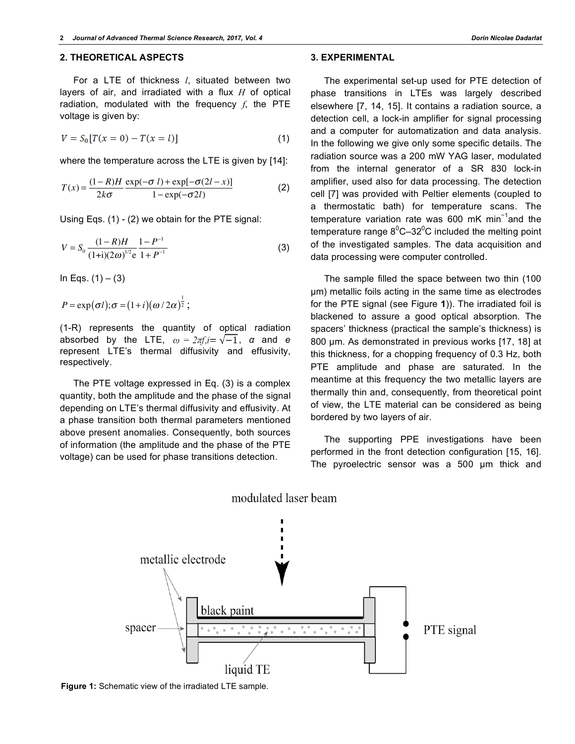### **2. THEORETICAL ASPECTS**

For a LTE of thickness *l*, situated between two layers of air, and irradiated with a flux *H* of optical radiation, modulated with the frequency *f*, the PTE voltage is given by:

$$
V = S_0[T(x = 0) - T(x = l)]
$$
\n(1)

where the temperature across the LTE is given by [14]:

$$
T(x) = \frac{(1 - R)H}{2k\sigma} \frac{\exp(-\sigma l) + \exp[-\sigma(2l - x)]}{1 - \exp(-\sigma 2l)}
$$
(2)

Using Eqs. (1) - (2) we obtain for the PTE signal:

$$
V = S_0 \frac{(1 - R)H}{(1 + i)(2\omega)^{1/2} e} \frac{1 - P^{-1}}{1 + P^{-1}}
$$
(3)

In Eqs.  $(1) - (3)$ 

$$
P = \exp(\sigma l); \sigma = (1+i)(\omega/2\alpha)^{\frac{1}{2}};
$$

(1-R) represents the quantity of optical radiation absorbed by the LTE,  $\omega = 2\pi f, i = \sqrt{-1}$ ,  $\alpha$  and  $\theta$ represent LTE's thermal diffusivity and effusivity, respectively.

The PTE voltage expressed in Eq. (3) is a complex quantity, both the amplitude and the phase of the signal depending on LTE's thermal diffusivity and effusivity. At a phase transition both thermal parameters mentioned above present anomalies. Consequently, both sources of information (the amplitude and the phase of the PTE voltage) can be used for phase transitions detection.

**3. EXPERIMENTAL**

The experimental set-up used for PTE detection of phase transitions in LTEs was largely described elsewhere [7, 14, 15]. It contains a radiation source, a detection cell, a lock-in amplifier for signal processing and a computer for automatization and data analysis. In the following we give only some specific details. The radiation source was a 200 mW YAG laser, modulated from the internal generator of a SR 830 lock-in amplifier, used also for data processing. The detection cell [7] was provided with Peltier elements (coupled to a thermostatic bath) for temperature scans. The temperature variation rate was 600 mK min<sup>-1</sup>and the temperature range  $8^0$ C-32 $^0$ C included the melting point of the investigated samples. The data acquisition and data processing were computer controlled.

The sample filled the space between two thin (100 µm) metallic foils acting in the same time as electrodes for the PTE signal (see Figure **1**)). The irradiated foil is blackened to assure a good optical absorption. The spacers' thickness (practical the sample's thickness) is 800 um. As demonstrated in previous works [17, 18] at this thickness, for a chopping frequency of 0.3 Hz, both PTE amplitude and phase are saturated. In the meantime at this frequency the two metallic layers are thermally thin and, consequently, from theoretical point of view, the LTE material can be considered as being bordered by two layers of air.

The supporting PPE investigations have been performed in the front detection configuration [15, 16]. The pyroelectric sensor was a 500 µm thick and



modulated laser beam

**Figure 1:** Schematic view of the irradiated LTE sample.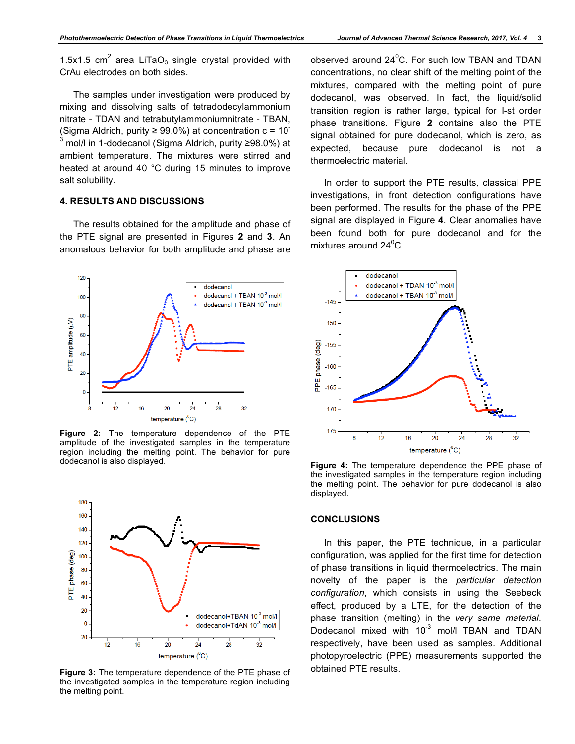1.5x1.5  $cm<sup>2</sup>$  area LiTaO<sub>3</sub> single crystal provided with CrAu electrodes on both sides.

The samples under investigation were produced by mixing and dissolving salts of tetradodecylammonium nitrate - TDAN and tetrabutylammoniumnitrate - TBAN, (Sigma Aldrich, purity  $\geq 99.0\%$ ) at concentration c = 10<sup>-</sup> 3 mol/l in 1-dodecanol (Sigma Aldrich, purity ≥98.0%) at ambient temperature. The mixtures were stirred and heated at around 40 °C during 15 minutes to improve salt solubility.

## **4. RESULTS AND DISCUSSIONS**

The results obtained for the amplitude and phase of the PTE signal are presented in Figures **2** and **3**. An anomalous behavior for both amplitude and phase are



**Figure 2:** The temperature dependence of the PTE amplitude of the investigated samples in the temperature region including the melting point. The behavior for pure dodecanol is also displayed.



**Figure 3:** The temperature dependence of the PTE phase of the investigated samples in the temperature region including the melting point.

observed around  $24^0C$ . For such low TBAN and TDAN concentrations, no clear shift of the melting point of the mixtures, compared with the melting point of pure dodecanol, was observed. In fact, the liquid/solid transition region is rather large, typical for I-st order phase transitions. Figure **2** contains also the PTE signal obtained for pure dodecanol, which is zero, as expected, because pure dodecanol is not a thermoelectric material.

In order to support the PTE results, classical PPE investigations, in front detection configurations have been performed. The results for the phase of the PPE signal are displayed in Figure **4**. Clear anomalies have been found both for pure dodecanol and for the mixtures around 24 $\rm ^{0}C.$ 



**Figure 4:** The temperature dependence the PPE phase of the investigated samples in the temperature region including the melting point. The behavior for pure dodecanol is also displayed.

#### **CONCLUSIONS**

In this paper, the PTE technique, in a particular configuration, was applied for the first time for detection of phase transitions in liquid thermoelectrics. The main novelty of the paper is the *particular detection configuration*, which consists in using the Seebeck effect, produced by a LTE, for the detection of the phase transition (melting) in the *very same material*. Dodecanol mixed with  $10^{-3}$  mol/l TBAN and TDAN respectively, have been used as samples. Additional photopyroelectric (PPE) measurements supported the obtained PTE results.